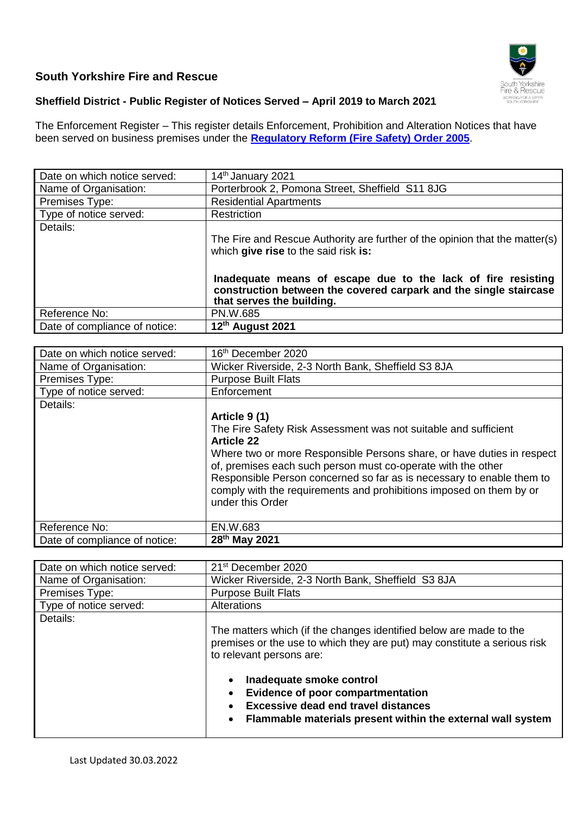## **South Yorkshire Fire and Rescue**



## **Sheffield District - Public Register of Notices Served – April 2019 to March 2021**

The Enforcement Register – This register details Enforcement, Prohibition and Alteration Notices that have been served on business premises under the **[Regulatory Reform \(Fire Safety\)](http://www.legislation.gov.uk/uksi/2005/1541/contents/made) Order 2005**.

| Date on which notice served:  | 14th January 2021                                                                                                                                              |
|-------------------------------|----------------------------------------------------------------------------------------------------------------------------------------------------------------|
| Name of Organisation:         | Porterbrook 2, Pomona Street, Sheffield S11 8JG                                                                                                                |
| Premises Type:                | <b>Residential Apartments</b>                                                                                                                                  |
| Type of notice served:        | Restriction                                                                                                                                                    |
| Details:                      |                                                                                                                                                                |
|                               | The Fire and Rescue Authority are further of the opinion that the matter(s)<br>which give rise to the said risk is:                                            |
|                               | Inadequate means of escape due to the lack of fire resisting<br>construction between the covered carpark and the single staircase<br>that serves the building. |
| Reference No:                 | PN.W.685                                                                                                                                                       |
| Date of compliance of notice: | 12th August 2021                                                                                                                                               |

| Date on which notice served:  | 16 <sup>th</sup> December 2020                                         |
|-------------------------------|------------------------------------------------------------------------|
| Name of Organisation:         | Wicker Riverside, 2-3 North Bank, Sheffield S3 8JA                     |
| Premises Type:                | <b>Purpose Built Flats</b>                                             |
| Type of notice served:        | Enforcement                                                            |
| Details:                      |                                                                        |
|                               | Article 9 (1)                                                          |
|                               | The Fire Safety Risk Assessment was not suitable and sufficient        |
|                               | <b>Article 22</b>                                                      |
|                               | Where two or more Responsible Persons share, or have duties in respect |
|                               | of, premises each such person must co-operate with the other           |
|                               | Responsible Person concerned so far as is necessary to enable them to  |
|                               | comply with the requirements and prohibitions imposed on them by or    |
|                               | under this Order                                                       |
|                               |                                                                        |
| Reference No:                 | EN.W.683                                                               |
| Date of compliance of notice: | 28 <sup>th</sup> May 2021                                              |

| Date on which notice served: | 21 <sup>st</sup> December 2020                                                                                                                                                                                           |
|------------------------------|--------------------------------------------------------------------------------------------------------------------------------------------------------------------------------------------------------------------------|
| Name of Organisation:        | Wicker Riverside, 2-3 North Bank, Sheffield S3 8JA                                                                                                                                                                       |
| Premises Type:               | <b>Purpose Built Flats</b>                                                                                                                                                                                               |
| Type of notice served:       | Alterations                                                                                                                                                                                                              |
| Details:                     | The matters which (if the changes identified below are made to the<br>premises or the use to which they are put) may constitute a serious risk<br>to relevant persons are:                                               |
|                              | Inadequate smoke control<br>$\bullet$<br><b>Evidence of poor compartmentation</b><br>$\bullet$<br><b>Excessive dead end travel distances</b><br>$\bullet$<br>Flammable materials present within the external wall system |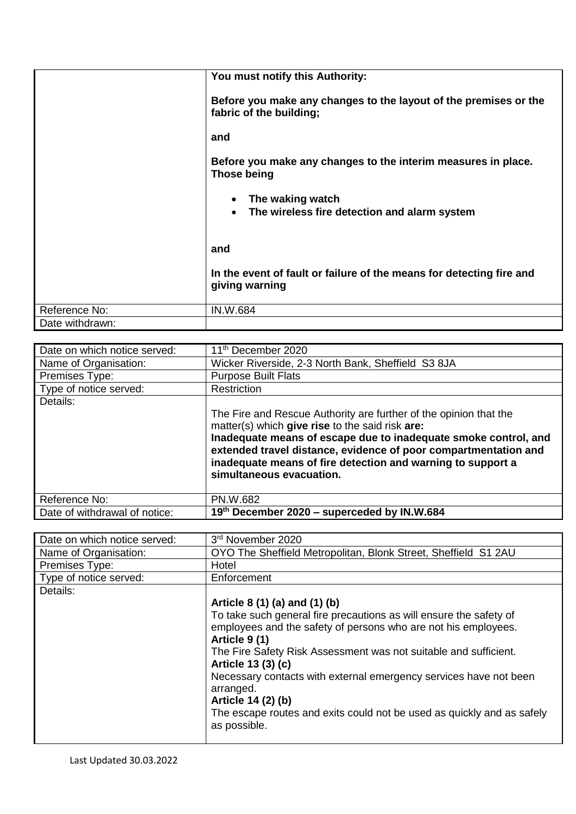| You must notify this Authority:<br>Before you make any changes to the layout of the premises or the<br>fabric of the building;<br>and<br>Before you make any changes to the interim measures in place.<br>Those being<br>The waking watch<br>$\bullet$<br>The wireless fire detection and alarm system<br>$\bullet$<br>and<br>In the event of fault or failure of the means for detecting fire and<br>giving warning<br>Reference No:<br><b>IN.W.684</b><br>Date withdrawn: |  |
|-----------------------------------------------------------------------------------------------------------------------------------------------------------------------------------------------------------------------------------------------------------------------------------------------------------------------------------------------------------------------------------------------------------------------------------------------------------------------------|--|
|                                                                                                                                                                                                                                                                                                                                                                                                                                                                             |  |
|                                                                                                                                                                                                                                                                                                                                                                                                                                                                             |  |
|                                                                                                                                                                                                                                                                                                                                                                                                                                                                             |  |
|                                                                                                                                                                                                                                                                                                                                                                                                                                                                             |  |
|                                                                                                                                                                                                                                                                                                                                                                                                                                                                             |  |
|                                                                                                                                                                                                                                                                                                                                                                                                                                                                             |  |
|                                                                                                                                                                                                                                                                                                                                                                                                                                                                             |  |
|                                                                                                                                                                                                                                                                                                                                                                                                                                                                             |  |
|                                                                                                                                                                                                                                                                                                                                                                                                                                                                             |  |

| Date on which notice served:  | 11 <sup>th</sup> December 2020                                                                                                                                                                                                                                                                                                                        |
|-------------------------------|-------------------------------------------------------------------------------------------------------------------------------------------------------------------------------------------------------------------------------------------------------------------------------------------------------------------------------------------------------|
| Name of Organisation:         | Wicker Riverside, 2-3 North Bank, Sheffield S3 8JA                                                                                                                                                                                                                                                                                                    |
| Premises Type:                | <b>Purpose Built Flats</b>                                                                                                                                                                                                                                                                                                                            |
| Type of notice served:        | Restriction                                                                                                                                                                                                                                                                                                                                           |
| Details:                      | The Fire and Rescue Authority are further of the opinion that the<br>matter(s) which give rise to the said risk are:<br>Inadequate means of escape due to inadequate smoke control, and<br>extended travel distance, evidence of poor compartmentation and<br>inadequate means of fire detection and warning to support a<br>simultaneous evacuation. |
| Reference No:                 | PN.W.682                                                                                                                                                                                                                                                                                                                                              |
| Date of withdrawal of notice: | 19th December 2020 - superceded by IN.W.684                                                                                                                                                                                                                                                                                                           |

| Date on which notice served: | 3rd November 2020                                                      |
|------------------------------|------------------------------------------------------------------------|
| Name of Organisation:        | OYO The Sheffield Metropolitan, Blonk Street, Sheffield S1 2AU         |
| Premises Type:               | Hotel                                                                  |
| Type of notice served:       | Enforcement                                                            |
| Details:                     |                                                                        |
|                              | Article 8 (1) (a) and (1) (b)                                          |
|                              | To take such general fire precautions as will ensure the safety of     |
|                              | employees and the safety of persons who are not his employees.         |
|                              | Article 9 (1)                                                          |
|                              | The Fire Safety Risk Assessment was not suitable and sufficient.       |
|                              | Article 13 (3) (c)                                                     |
|                              | Necessary contacts with external emergency services have not been      |
|                              | arranged.                                                              |
|                              | Article 14 (2) (b)                                                     |
|                              | The escape routes and exits could not be used as quickly and as safely |
|                              | as possible.                                                           |
|                              |                                                                        |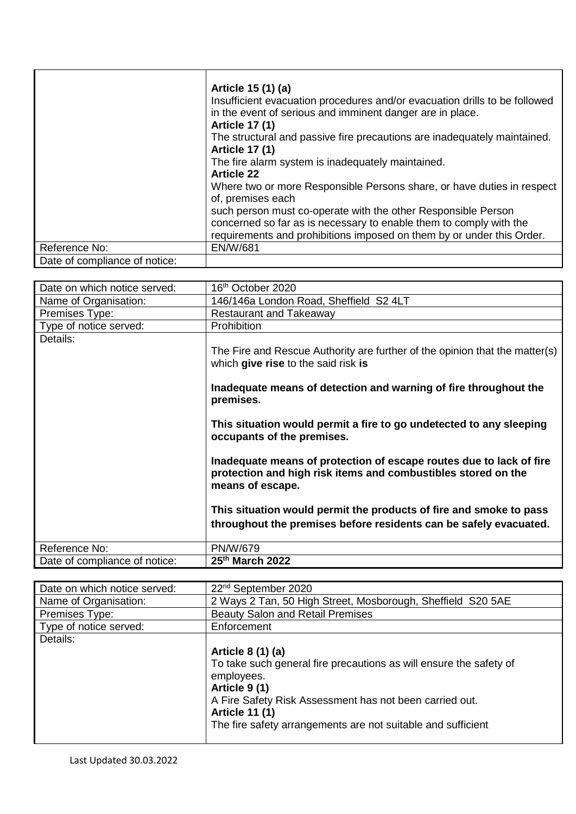|                               | Article 15 (1) (a)<br>Insufficient evacuation procedures and/or evacuation drills to be followed<br>in the event of serious and imminent danger are in place.<br><b>Article 17 (1)</b><br>The structural and passive fire precautions are inadequately maintained.<br><b>Article 17 (1)</b><br>The fire alarm system is inadequately maintained.<br><b>Article 22</b><br>Where two or more Responsible Persons share, or have duties in respect<br>of, premises each<br>such person must co-operate with the other Responsible Person |
|-------------------------------|---------------------------------------------------------------------------------------------------------------------------------------------------------------------------------------------------------------------------------------------------------------------------------------------------------------------------------------------------------------------------------------------------------------------------------------------------------------------------------------------------------------------------------------|
|                               | concerned so far as is necessary to enable them to comply with the<br>requirements and prohibitions imposed on them by or under this Order.                                                                                                                                                                                                                                                                                                                                                                                           |
| Reference No:                 | <b>EN/W/681</b>                                                                                                                                                                                                                                                                                                                                                                                                                                                                                                                       |
| Date of compliance of notice: |                                                                                                                                                                                                                                                                                                                                                                                                                                                                                                                                       |

| Date on which notice served:  | 16 <sup>th</sup> October 2020                                                                                                                                                                                                                                                                                                                                                                                                                                                                                                              |
|-------------------------------|--------------------------------------------------------------------------------------------------------------------------------------------------------------------------------------------------------------------------------------------------------------------------------------------------------------------------------------------------------------------------------------------------------------------------------------------------------------------------------------------------------------------------------------------|
| Name of Organisation:         | 146/146a London Road, Sheffield S2 4LT                                                                                                                                                                                                                                                                                                                                                                                                                                                                                                     |
| Premises Type:                | <b>Restaurant and Takeaway</b>                                                                                                                                                                                                                                                                                                                                                                                                                                                                                                             |
| Type of notice served:        | Prohibition                                                                                                                                                                                                                                                                                                                                                                                                                                                                                                                                |
| Details:                      | The Fire and Rescue Authority are further of the opinion that the matter(s)<br>which give rise to the said risk is<br>Inadequate means of detection and warning of fire throughout the<br>premises.<br>This situation would permit a fire to go undetected to any sleeping<br>occupants of the premises.<br>Inadequate means of protection of escape routes due to lack of fire<br>protection and high risk items and combustibles stored on the<br>means of escape.<br>This situation would permit the products of fire and smoke to pass |
|                               | throughout the premises before residents can be safely evacuated.                                                                                                                                                                                                                                                                                                                                                                                                                                                                          |
|                               |                                                                                                                                                                                                                                                                                                                                                                                                                                                                                                                                            |
| Reference No:                 | <b>PN/W/679</b>                                                                                                                                                                                                                                                                                                                                                                                                                                                                                                                            |
| Date of compliance of notice: | 25th March 2022                                                                                                                                                                                                                                                                                                                                                                                                                                                                                                                            |

| Date on which notice served: | 22 <sup>nd</sup> September 2020                                    |
|------------------------------|--------------------------------------------------------------------|
| Name of Organisation:        | 2 Ways 2 Tan, 50 High Street, Mosborough, Sheffield S20 5AE        |
| Premises Type:               | <b>Beauty Salon and Retail Premises</b>                            |
| Type of notice served:       | Enforcement                                                        |
| Details:                     |                                                                    |
|                              | Article 8 (1) (a)                                                  |
|                              | To take such general fire precautions as will ensure the safety of |
|                              | employees.                                                         |
|                              | Article 9 (1)                                                      |
|                              | A Fire Safety Risk Assessment has not been carried out.            |
|                              | <b>Article 11 (1)</b>                                              |
|                              | The fire safety arrangements are not suitable and sufficient       |
|                              |                                                                    |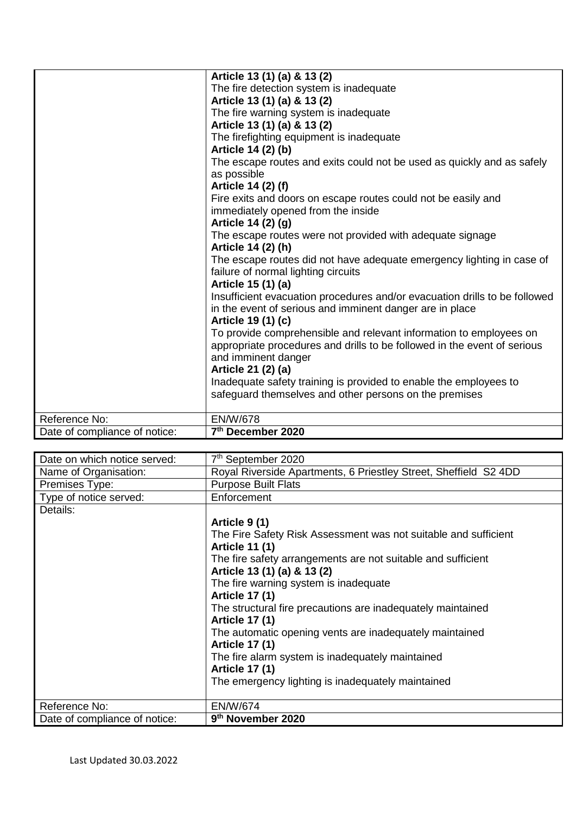|                               | Article 13 (1) (a) & 13 (2)                                                |
|-------------------------------|----------------------------------------------------------------------------|
|                               | The fire detection system is inadequate                                    |
|                               | Article 13 (1) (a) & 13 (2)                                                |
|                               | The fire warning system is inadequate                                      |
|                               | Article 13 (1) (a) & 13 (2)                                                |
|                               | The firefighting equipment is inadequate                                   |
|                               | Article 14 (2) (b)                                                         |
|                               | The escape routes and exits could not be used as quickly and as safely     |
|                               | as possible                                                                |
|                               | Article 14 (2) (f)                                                         |
|                               | Fire exits and doors on escape routes could not be easily and              |
|                               | immediately opened from the inside                                         |
|                               | Article 14 (2) (g)                                                         |
|                               | The escape routes were not provided with adequate signage                  |
|                               | Article 14 (2) (h)                                                         |
|                               | The escape routes did not have adequate emergency lighting in case of      |
|                               | failure of normal lighting circuits                                        |
|                               | Article 15 (1) (a)                                                         |
|                               | Insufficient evacuation procedures and/or evacuation drills to be followed |
|                               | in the event of serious and imminent danger are in place                   |
|                               | Article 19 (1) (c)                                                         |
|                               | To provide comprehensible and relevant information to employees on         |
|                               | appropriate procedures and drills to be followed in the event of serious   |
|                               | and imminent danger                                                        |
|                               | Article 21 (2) (a)                                                         |
|                               | Inadequate safety training is provided to enable the employees to          |
|                               | safeguard themselves and other persons on the premises                     |
|                               |                                                                            |
| Reference No:                 | <b>EN/W/678</b>                                                            |
| Date of compliance of notice: | 7th December 2020                                                          |

| Date on which notice served:  | 7 <sup>th</sup> September 2020                                   |
|-------------------------------|------------------------------------------------------------------|
| Name of Organisation:         | Royal Riverside Apartments, 6 Priestley Street, Sheffield S2 4DD |
| Premises Type:                | <b>Purpose Built Flats</b>                                       |
| Type of notice served:        | Enforcement                                                      |
| Details:                      |                                                                  |
|                               | Article 9 (1)                                                    |
|                               | The Fire Safety Risk Assessment was not suitable and sufficient  |
|                               | <b>Article 11 (1)</b>                                            |
|                               | The fire safety arrangements are not suitable and sufficient     |
|                               | Article 13 (1) (a) & 13 (2)                                      |
|                               | The fire warning system is inadequate                            |
|                               | <b>Article 17 (1)</b>                                            |
|                               | The structural fire precautions are inadequately maintained      |
|                               | <b>Article 17 (1)</b>                                            |
|                               | The automatic opening vents are inadequately maintained          |
|                               | <b>Article 17 (1)</b>                                            |
|                               | The fire alarm system is inadequately maintained                 |
|                               | <b>Article 17 (1)</b>                                            |
|                               | The emergency lighting is inadequately maintained                |
|                               |                                                                  |
| Reference No:                 | <b>EN/W/674</b>                                                  |
| Date of compliance of notice: | 9 <sup>th</sup> November 2020                                    |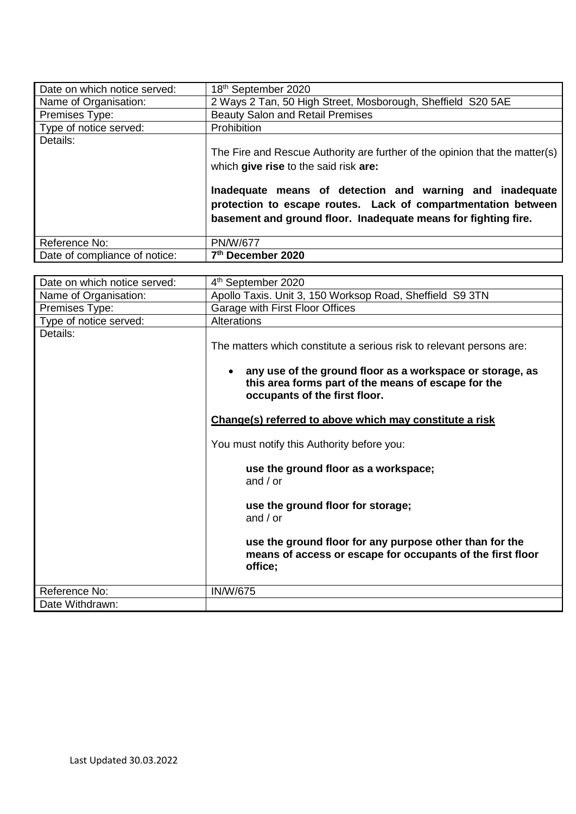| Date on which notice served:  | 18th September 2020                                                                                                                                                                         |
|-------------------------------|---------------------------------------------------------------------------------------------------------------------------------------------------------------------------------------------|
| Name of Organisation:         | 2 Ways 2 Tan, 50 High Street, Mosborough, Sheffield S20 5AE                                                                                                                                 |
| Premises Type:                | <b>Beauty Salon and Retail Premises</b>                                                                                                                                                     |
| Type of notice served:        | Prohibition                                                                                                                                                                                 |
| Details:                      | The Fire and Rescue Authority are further of the opinion that the matter(s)<br>which give rise to the said risk are:                                                                        |
|                               | Inadequate means of detection and warning and inadequate<br>protection to escape routes. Lack of compartmentation between<br>basement and ground floor. Inadequate means for fighting fire. |
| Reference No:                 | <b>PN/W/677</b>                                                                                                                                                                             |
| Date of compliance of notice: | 7th December 2020                                                                                                                                                                           |

| Date on which notice served: | 4 <sup>th</sup> September 2020                                                                                                                                                                                                                                                                                                                                                                                                                                                                                                                                                               |
|------------------------------|----------------------------------------------------------------------------------------------------------------------------------------------------------------------------------------------------------------------------------------------------------------------------------------------------------------------------------------------------------------------------------------------------------------------------------------------------------------------------------------------------------------------------------------------------------------------------------------------|
| Name of Organisation:        | Apollo Taxis. Unit 3, 150 Worksop Road, Sheffield S9 3TN                                                                                                                                                                                                                                                                                                                                                                                                                                                                                                                                     |
| Premises Type:               | Garage with First Floor Offices                                                                                                                                                                                                                                                                                                                                                                                                                                                                                                                                                              |
| Type of notice served:       | <b>Alterations</b>                                                                                                                                                                                                                                                                                                                                                                                                                                                                                                                                                                           |
| Details:                     | The matters which constitute a serious risk to relevant persons are:<br>any use of the ground floor as a workspace or storage, as<br>$\bullet$<br>this area forms part of the means of escape for the<br>occupants of the first floor.<br>Change(s) referred to above which may constitute a risk<br>You must notify this Authority before you:<br>use the ground floor as a workspace;<br>and $/$ or<br>use the ground floor for storage;<br>and $/$ or<br>use the ground floor for any purpose other than for the<br>means of access or escape for occupants of the first floor<br>office; |
| Reference No:                | <b>IN/W/675</b>                                                                                                                                                                                                                                                                                                                                                                                                                                                                                                                                                                              |
| Date Withdrawn:              |                                                                                                                                                                                                                                                                                                                                                                                                                                                                                                                                                                                              |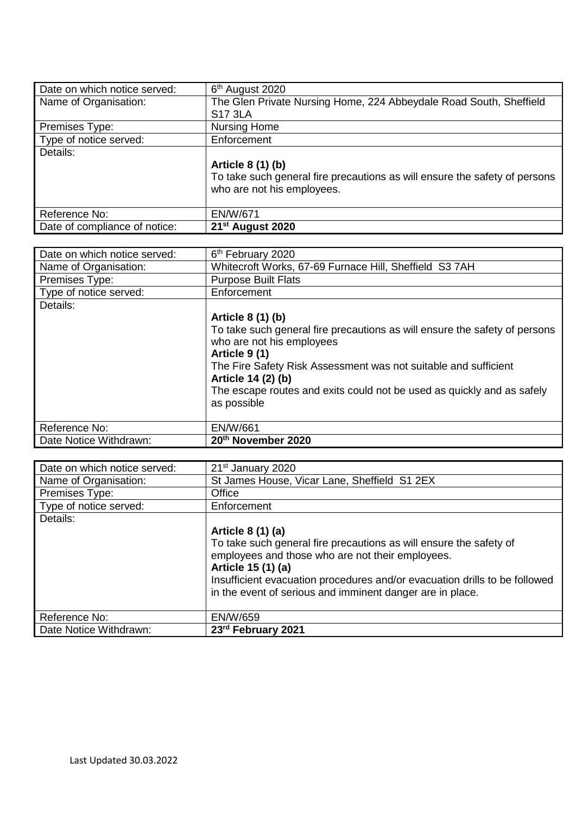| Date on which notice served:  | 6 <sup>th</sup> August 2020                                                |
|-------------------------------|----------------------------------------------------------------------------|
| Name of Organisation:         | The Glen Private Nursing Home, 224 Abbeydale Road South, Sheffield         |
|                               | <b>S17 3LA</b>                                                             |
| Premises Type:                | <b>Nursing Home</b>                                                        |
| Type of notice served:        | Enforcement                                                                |
| Details:                      |                                                                            |
|                               | Article 8 (1) (b)                                                          |
|                               | To take such general fire precautions as will ensure the safety of persons |
|                               | who are not his employees.                                                 |
|                               |                                                                            |
| Reference No:                 | EN/W/671                                                                   |
| Date of compliance of notice: | 21 <sup>st</sup> August 2020                                               |

| Date on which notice served: | 6 <sup>th</sup> February 2020                                                                                                                                                                                                                                                                                                   |
|------------------------------|---------------------------------------------------------------------------------------------------------------------------------------------------------------------------------------------------------------------------------------------------------------------------------------------------------------------------------|
| Name of Organisation:        | Whitecroft Works, 67-69 Furnace Hill, Sheffield S3 7AH                                                                                                                                                                                                                                                                          |
| Premises Type:               | <b>Purpose Built Flats</b>                                                                                                                                                                                                                                                                                                      |
| Type of notice served:       | Enforcement                                                                                                                                                                                                                                                                                                                     |
| Details:                     | Article 8 (1) (b)<br>To take such general fire precautions as will ensure the safety of persons<br>who are not his employees<br>Article 9 (1)<br>The Fire Safety Risk Assessment was not suitable and sufficient<br>Article 14 (2) (b)<br>The escape routes and exits could not be used as quickly and as safely<br>as possible |
| Reference No:                | EN/W/661                                                                                                                                                                                                                                                                                                                        |
| Date Notice Withdrawn:       | 20th November 2020                                                                                                                                                                                                                                                                                                              |

| Date on which notice served: | 21 <sup>st</sup> January 2020                                              |
|------------------------------|----------------------------------------------------------------------------|
| Name of Organisation:        | St James House, Vicar Lane, Sheffield S1 2EX                               |
| Premises Type:               | Office                                                                     |
| Type of notice served:       | Enforcement                                                                |
| Details:                     |                                                                            |
|                              | Article 8 (1) (a)                                                          |
|                              | To take such general fire precautions as will ensure the safety of         |
|                              | employees and those who are not their employees.                           |
|                              | Article 15 (1) (a)                                                         |
|                              | Insufficient evacuation procedures and/or evacuation drills to be followed |
|                              | in the event of serious and imminent danger are in place.                  |
|                              |                                                                            |
| Reference No:                | <b>EN/W/659</b>                                                            |
| Date Notice Withdrawn:       | 23rd February 2021                                                         |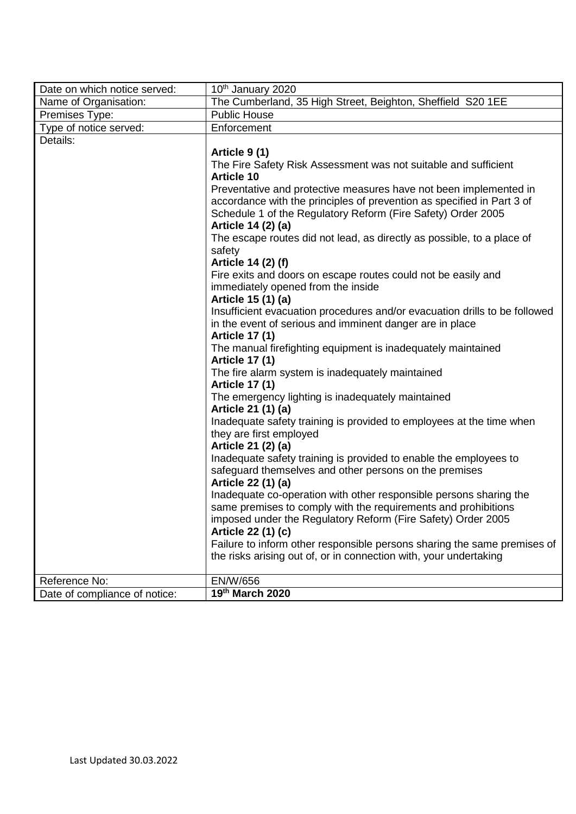| Date on which notice served:  | 10th January 2020                                                                  |
|-------------------------------|------------------------------------------------------------------------------------|
| Name of Organisation:         | The Cumberland, 35 High Street, Beighton, Sheffield S20 1EE                        |
| Premises Type:                | <b>Public House</b>                                                                |
| Type of notice served:        | Enforcement                                                                        |
| Details:                      |                                                                                    |
|                               | Article 9(1)                                                                       |
|                               | The Fire Safety Risk Assessment was not suitable and sufficient                    |
|                               | <b>Article 10</b>                                                                  |
|                               | Preventative and protective measures have not been implemented in                  |
|                               | accordance with the principles of prevention as specified in Part 3 of             |
|                               | Schedule 1 of the Regulatory Reform (Fire Safety) Order 2005                       |
|                               | Article 14 (2) (a)                                                                 |
|                               | The escape routes did not lead, as directly as possible, to a place of<br>safety   |
|                               | Article 14 (2) (f)                                                                 |
|                               | Fire exits and doors on escape routes could not be easily and                      |
|                               | immediately opened from the inside                                                 |
|                               | Article 15 (1) (a)                                                                 |
|                               | Insufficient evacuation procedures and/or evacuation drills to be followed         |
|                               | in the event of serious and imminent danger are in place                           |
|                               | <b>Article 17 (1)</b>                                                              |
|                               | The manual firefighting equipment is inadequately maintained                       |
|                               | <b>Article 17 (1)</b>                                                              |
|                               | The fire alarm system is inadequately maintained                                   |
|                               | <b>Article 17 (1)</b>                                                              |
|                               | The emergency lighting is inadequately maintained                                  |
|                               | Article 21 (1) (a)                                                                 |
|                               | Inadequate safety training is provided to employees at the time when               |
|                               | they are first employed                                                            |
|                               | Article 21 (2) (a)                                                                 |
|                               | Inadequate safety training is provided to enable the employees to                  |
|                               | safeguard themselves and other persons on the premises                             |
|                               | Article 22 (1) (a)                                                                 |
|                               | Inadequate co-operation with other responsible persons sharing the                 |
|                               | same premises to comply with the requirements and prohibitions                     |
|                               | imposed under the Regulatory Reform (Fire Safety) Order 2005<br>Article 22 (1) (c) |
|                               | Failure to inform other responsible persons sharing the same premises of           |
|                               | the risks arising out of, or in connection with, your undertaking                  |
|                               |                                                                                    |
| Reference No:                 | EN/W/656                                                                           |
| Date of compliance of notice: | 19th March 2020                                                                    |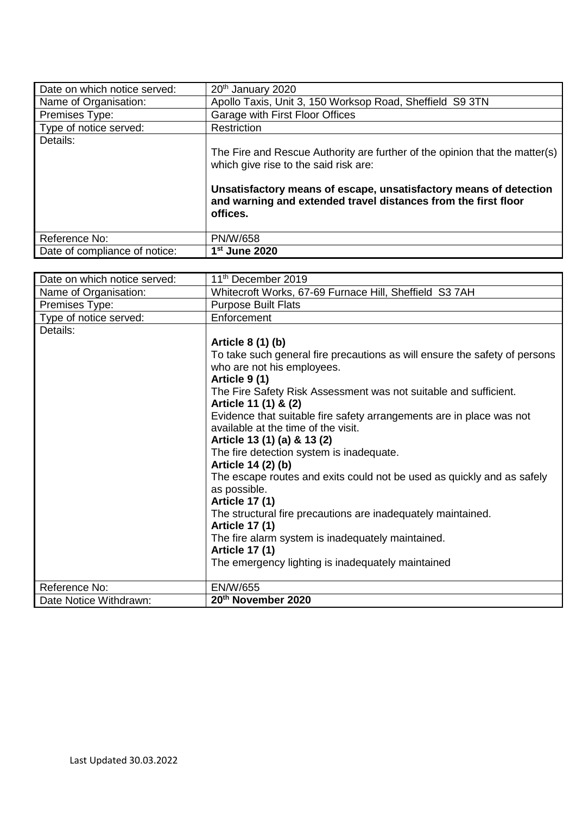| Date on which notice served:  | 20 <sup>th</sup> January 2020                                                                                                                   |
|-------------------------------|-------------------------------------------------------------------------------------------------------------------------------------------------|
| Name of Organisation:         | Apollo Taxis, Unit 3, 150 Worksop Road, Sheffield S9 3TN                                                                                        |
| Premises Type:                | Garage with First Floor Offices                                                                                                                 |
| Type of notice served:        | Restriction                                                                                                                                     |
| Details:                      |                                                                                                                                                 |
|                               | The Fire and Rescue Authority are further of the opinion that the matter(s)<br>which give rise to the said risk are:                            |
|                               | Unsatisfactory means of escape, unsatisfactory means of detection<br>and warning and extended travel distances from the first floor<br>offices. |
| Reference No:                 | <b>PN/W/658</b>                                                                                                                                 |
| Date of compliance of notice: | 1 <sup>st</sup> June 2020                                                                                                                       |

| Date on which notice served: | 11 <sup>th</sup> December 2019                                             |
|------------------------------|----------------------------------------------------------------------------|
| Name of Organisation:        | Whitecroft Works, 67-69 Furnace Hill, Sheffield S3 7AH                     |
| Premises Type:               | <b>Purpose Built Flats</b>                                                 |
| Type of notice served:       | Enforcement                                                                |
| Details:                     |                                                                            |
|                              | Article 8 (1) (b)                                                          |
|                              | To take such general fire precautions as will ensure the safety of persons |
|                              | who are not his employees.                                                 |
|                              | Article 9(1)                                                               |
|                              | The Fire Safety Risk Assessment was not suitable and sufficient.           |
|                              | Article 11 (1) & (2)                                                       |
|                              | Evidence that suitable fire safety arrangements are in place was not       |
|                              | available at the time of the visit.                                        |
|                              | Article 13 (1) (a) & 13 (2)                                                |
|                              | The fire detection system is inadequate.                                   |
|                              | Article 14 (2) (b)                                                         |
|                              | The escape routes and exits could not be used as quickly and as safely     |
|                              | as possible.                                                               |
|                              | <b>Article 17 (1)</b>                                                      |
|                              | The structural fire precautions are inadequately maintained.               |
|                              | <b>Article 17 (1)</b>                                                      |
|                              | The fire alarm system is inadequately maintained.                          |
|                              | <b>Article 17 (1)</b>                                                      |
|                              | The emergency lighting is inadequately maintained                          |
| Reference No:                | EN/W/655                                                                   |
|                              | 20th November 2020                                                         |
| Date Notice Withdrawn:       |                                                                            |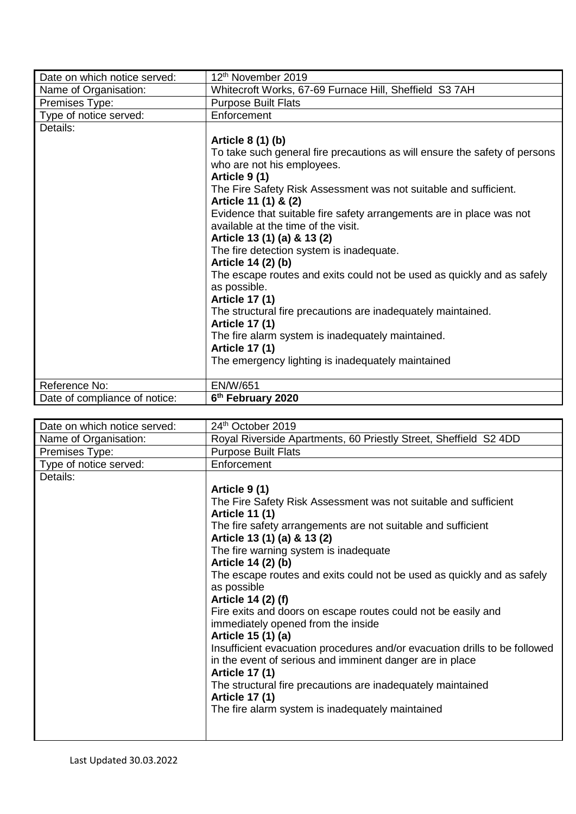| Date on which notice served:  | 12 <sup>th</sup> November 2019                                             |
|-------------------------------|----------------------------------------------------------------------------|
| Name of Organisation:         | Whitecroft Works, 67-69 Furnace Hill, Sheffield S3 7AH                     |
| Premises Type:                | <b>Purpose Built Flats</b>                                                 |
| Type of notice served:        | Enforcement                                                                |
| Details:                      |                                                                            |
|                               | Article 8 (1) (b)                                                          |
|                               | To take such general fire precautions as will ensure the safety of persons |
|                               | who are not his employees.                                                 |
|                               | Article 9(1)                                                               |
|                               | The Fire Safety Risk Assessment was not suitable and sufficient.           |
|                               | Article 11 (1) & (2)                                                       |
|                               | Evidence that suitable fire safety arrangements are in place was not       |
|                               | available at the time of the visit.                                        |
|                               | Article 13 (1) (a) & 13 (2)                                                |
|                               | The fire detection system is inadequate.                                   |
|                               | Article 14 (2) (b)                                                         |
|                               | The escape routes and exits could not be used as quickly and as safely     |
|                               | as possible.                                                               |
|                               | <b>Article 17 (1)</b>                                                      |
|                               | The structural fire precautions are inadequately maintained.               |
|                               | <b>Article 17 (1)</b>                                                      |
|                               | The fire alarm system is inadequately maintained.                          |
|                               | <b>Article 17 (1)</b>                                                      |
|                               | The emergency lighting is inadequately maintained                          |
|                               |                                                                            |
| Reference No:                 | <b>EN/W/651</b>                                                            |
| Date of compliance of notice: | 6 <sup>th</sup> February 2020                                              |

| Date on which notice served: | 24th October 2019                                                          |
|------------------------------|----------------------------------------------------------------------------|
| Name of Organisation:        | Royal Riverside Apartments, 60 Priestly Street, Sheffield S2 4DD           |
| Premises Type:               | <b>Purpose Built Flats</b>                                                 |
| Type of notice served:       | Enforcement                                                                |
| Details:                     |                                                                            |
|                              | Article 9 (1)                                                              |
|                              | The Fire Safety Risk Assessment was not suitable and sufficient            |
|                              | <b>Article 11 (1)</b>                                                      |
|                              | The fire safety arrangements are not suitable and sufficient               |
|                              | Article 13 (1) (a) & 13 (2)                                                |
|                              | The fire warning system is inadequate                                      |
|                              | Article 14 (2) (b)                                                         |
|                              | The escape routes and exits could not be used as quickly and as safely     |
|                              | as possible                                                                |
|                              | Article 14 (2) (f)                                                         |
|                              | Fire exits and doors on escape routes could not be easily and              |
|                              | immediately opened from the inside                                         |
|                              | Article 15 (1) (a)                                                         |
|                              | Insufficient evacuation procedures and/or evacuation drills to be followed |
|                              | in the event of serious and imminent danger are in place                   |
|                              | <b>Article 17 (1)</b>                                                      |
|                              | The structural fire precautions are inadequately maintained                |
|                              | <b>Article 17 (1)</b>                                                      |
|                              | The fire alarm system is inadequately maintained                           |
|                              |                                                                            |
|                              |                                                                            |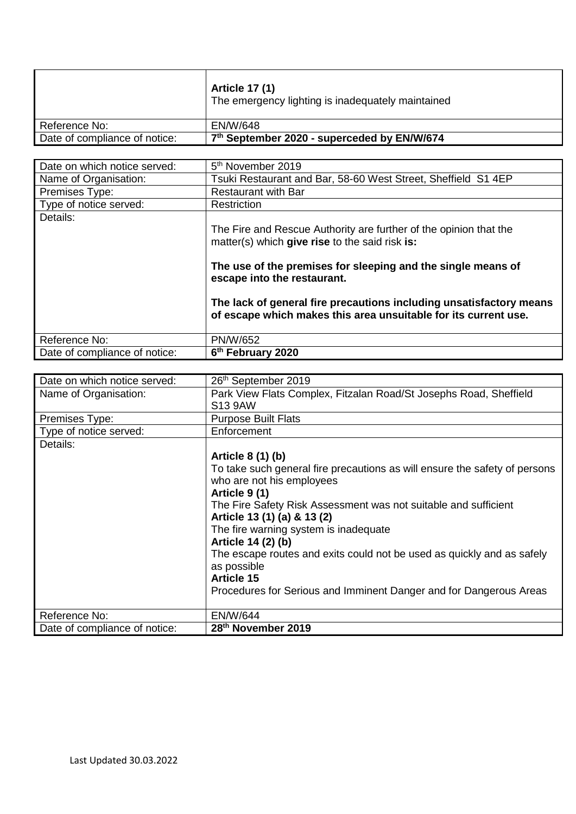|                               | <b>Article 17 (1)</b><br>The emergency lighting is inadequately maintained |
|-------------------------------|----------------------------------------------------------------------------|
| Reference No:                 | EN/W/648                                                                   |
| Date of compliance of notice: | 7th September 2020 - superceded by EN/W/674                                |

| Date on which notice served:  | 5 <sup>th</sup> November 2019                                                                                                                                                                                                                                                                                                                                |
|-------------------------------|--------------------------------------------------------------------------------------------------------------------------------------------------------------------------------------------------------------------------------------------------------------------------------------------------------------------------------------------------------------|
| Name of Organisation:         | Tsuki Restaurant and Bar, 58-60 West Street, Sheffield S1 4EP                                                                                                                                                                                                                                                                                                |
| Premises Type:                | <b>Restaurant with Bar</b>                                                                                                                                                                                                                                                                                                                                   |
| Type of notice served:        | Restriction                                                                                                                                                                                                                                                                                                                                                  |
| Details:                      | The Fire and Rescue Authority are further of the opinion that the<br>matter(s) which give rise to the said risk is:<br>The use of the premises for sleeping and the single means of<br>escape into the restaurant.<br>The lack of general fire precautions including unsatisfactory means<br>of escape which makes this area unsuitable for its current use. |
| Reference No:                 | <b>PN/W/652</b>                                                                                                                                                                                                                                                                                                                                              |
| Date of compliance of notice: | 6 <sup>th</sup> February 2020                                                                                                                                                                                                                                                                                                                                |

| Date on which notice served:  | 26th September 2019                                                        |
|-------------------------------|----------------------------------------------------------------------------|
| Name of Organisation:         | Park View Flats Complex, Fitzalan Road/St Josephs Road, Sheffield          |
|                               | S13 9AW                                                                    |
| Premises Type:                | <b>Purpose Built Flats</b>                                                 |
| Type of notice served:        | Enforcement                                                                |
| Details:                      |                                                                            |
|                               | Article 8 (1) (b)                                                          |
|                               | To take such general fire precautions as will ensure the safety of persons |
|                               | who are not his employees                                                  |
|                               | Article 9 (1)                                                              |
|                               | The Fire Safety Risk Assessment was not suitable and sufficient            |
|                               | Article 13 (1) (a) & 13 (2)                                                |
|                               | The fire warning system is inadequate                                      |
|                               | Article 14 (2) (b)                                                         |
|                               | The escape routes and exits could not be used as quickly and as safely     |
|                               | as possible                                                                |
|                               | <b>Article 15</b>                                                          |
|                               | Procedures for Serious and Imminent Danger and for Dangerous Areas         |
|                               |                                                                            |
| Reference No:                 | <b>EN/W/644</b>                                                            |
| Date of compliance of notice: | 28th November 2019                                                         |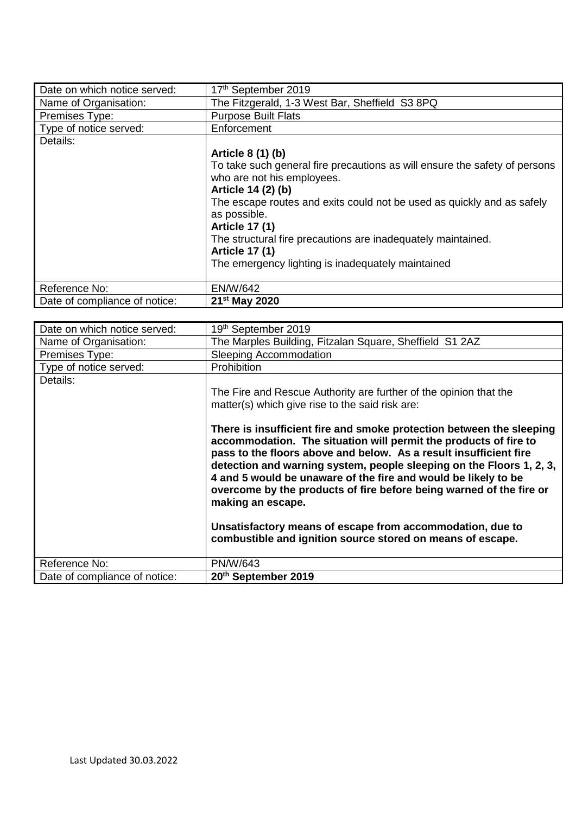| Date on which notice served:  | 17th September 2019                                                        |
|-------------------------------|----------------------------------------------------------------------------|
| Name of Organisation:         | The Fitzgerald, 1-3 West Bar, Sheffield S3 8PQ                             |
| Premises Type:                | <b>Purpose Built Flats</b>                                                 |
| Type of notice served:        | Enforcement                                                                |
| Details:                      |                                                                            |
|                               | Article 8 (1) (b)                                                          |
|                               | To take such general fire precautions as will ensure the safety of persons |
|                               | who are not his employees.                                                 |
|                               | Article 14 (2) (b)                                                         |
|                               | The escape routes and exits could not be used as quickly and as safely     |
|                               | as possible.                                                               |
|                               | <b>Article 17 (1)</b>                                                      |
|                               | The structural fire precautions are inadequately maintained.               |
|                               | <b>Article 17 (1)</b>                                                      |
|                               | The emergency lighting is inadequately maintained                          |
|                               |                                                                            |
| Reference No:                 | <b>EN/W/642</b>                                                            |
| Date of compliance of notice: | 21 <sup>st</sup> May 2020                                                  |

| Date on which notice served:  | 19th September 2019                                                                                                                                                                                                                                                                                                                                                                                                                                                                                                                                                                                                                                                                                    |
|-------------------------------|--------------------------------------------------------------------------------------------------------------------------------------------------------------------------------------------------------------------------------------------------------------------------------------------------------------------------------------------------------------------------------------------------------------------------------------------------------------------------------------------------------------------------------------------------------------------------------------------------------------------------------------------------------------------------------------------------------|
| Name of Organisation:         | The Marples Building, Fitzalan Square, Sheffield S1 2AZ                                                                                                                                                                                                                                                                                                                                                                                                                                                                                                                                                                                                                                                |
| Premises Type:                | <b>Sleeping Accommodation</b>                                                                                                                                                                                                                                                                                                                                                                                                                                                                                                                                                                                                                                                                          |
| Type of notice served:        | <b>Prohibition</b>                                                                                                                                                                                                                                                                                                                                                                                                                                                                                                                                                                                                                                                                                     |
| Details:                      | The Fire and Rescue Authority are further of the opinion that the<br>matter(s) which give rise to the said risk are:<br>There is insufficient fire and smoke protection between the sleeping<br>accommodation. The situation will permit the products of fire to<br>pass to the floors above and below. As a result insufficient fire<br>detection and warning system, people sleeping on the Floors 1, 2, 3,<br>4 and 5 would be unaware of the fire and would be likely to be<br>overcome by the products of fire before being warned of the fire or<br>making an escape.<br>Unsatisfactory means of escape from accommodation, due to<br>combustible and ignition source stored on means of escape. |
| Reference No:                 | PN/W/643                                                                                                                                                                                                                                                                                                                                                                                                                                                                                                                                                                                                                                                                                               |
| Date of compliance of notice: | 20th September 2019                                                                                                                                                                                                                                                                                                                                                                                                                                                                                                                                                                                                                                                                                    |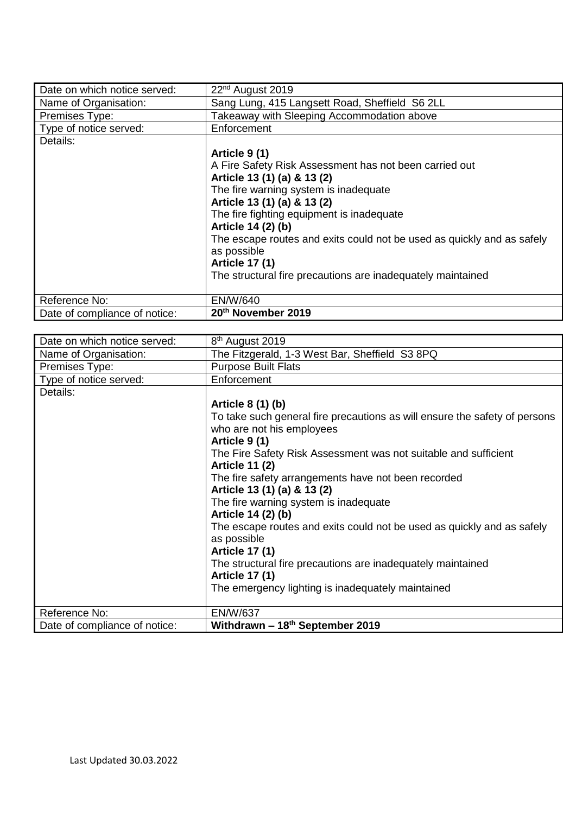| Date on which notice served:  | 22 <sup>nd</sup> August 2019                                           |
|-------------------------------|------------------------------------------------------------------------|
| Name of Organisation:         | Sang Lung, 415 Langsett Road, Sheffield S6 2LL                         |
| Premises Type:                | Takeaway with Sleeping Accommodation above                             |
| Type of notice served:        | Enforcement                                                            |
| Details:                      |                                                                        |
|                               | Article 9 (1)                                                          |
|                               | A Fire Safety Risk Assessment has not been carried out                 |
|                               | Article 13 (1) (a) & 13 (2)                                            |
|                               | The fire warning system is inadequate                                  |
|                               | Article 13 (1) (a) & 13 (2)                                            |
|                               | The fire fighting equipment is inadequate                              |
|                               | Article 14 (2) (b)                                                     |
|                               | The escape routes and exits could not be used as quickly and as safely |
|                               | as possible                                                            |
|                               | <b>Article 17 (1)</b>                                                  |
|                               | The structural fire precautions are inadequately maintained            |
|                               |                                                                        |
| Reference No:                 | EN/W/640                                                               |
| Date of compliance of notice: | 20th November 2019                                                     |

| Date on which notice served:  | 8 <sup>th</sup> August 2019                                                |
|-------------------------------|----------------------------------------------------------------------------|
| Name of Organisation:         | The Fitzgerald, 1-3 West Bar, Sheffield S3 8PQ                             |
| Premises Type:                | <b>Purpose Built Flats</b>                                                 |
| Type of notice served:        | Enforcement                                                                |
| Details:                      |                                                                            |
|                               | Article 8 (1) (b)                                                          |
|                               | To take such general fire precautions as will ensure the safety of persons |
|                               | who are not his employees                                                  |
|                               | Article 9 (1)                                                              |
|                               | The Fire Safety Risk Assessment was not suitable and sufficient            |
|                               | <b>Article 11 (2)</b>                                                      |
|                               | The fire safety arrangements have not been recorded                        |
|                               | Article 13 (1) (a) & 13 (2)                                                |
|                               | The fire warning system is inadequate                                      |
|                               | Article 14 (2) (b)                                                         |
|                               | The escape routes and exits could not be used as quickly and as safely     |
|                               | as possible                                                                |
|                               | <b>Article 17 (1)</b>                                                      |
|                               | The structural fire precautions are inadequately maintained                |
|                               | <b>Article 17 (1)</b>                                                      |
|                               | The emergency lighting is inadequately maintained                          |
| Reference No:                 | <b>EN/W/637</b>                                                            |
| Date of compliance of notice: | Withdrawn - 18th September 2019                                            |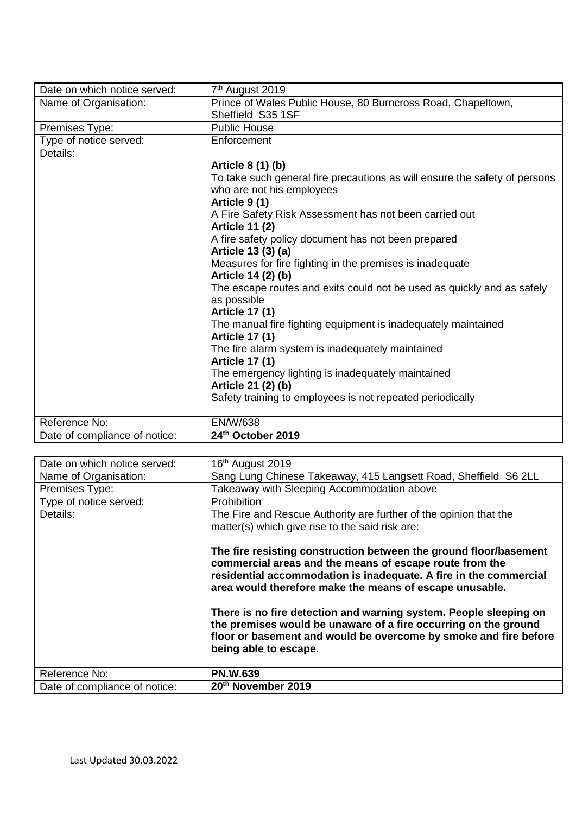| Date on which notice served:  | 7 <sup>th</sup> August 2019                                                |
|-------------------------------|----------------------------------------------------------------------------|
| Name of Organisation:         | Prince of Wales Public House, 80 Burncross Road, Chapeltown,               |
|                               | Sheffield S35 1SF                                                          |
| Premises Type:                | <b>Public House</b>                                                        |
| Type of notice served:        | Enforcement                                                                |
| Details:                      |                                                                            |
|                               | Article 8 (1) (b)                                                          |
|                               | To take such general fire precautions as will ensure the safety of persons |
|                               | who are not his employees                                                  |
|                               | Article 9(1)                                                               |
|                               | A Fire Safety Risk Assessment has not been carried out                     |
|                               | <b>Article 11 (2)</b>                                                      |
|                               | A fire safety policy document has not been prepared                        |
|                               | Article 13 (3) (a)                                                         |
|                               | Measures for fire fighting in the premises is inadequate                   |
|                               | Article 14 (2) (b)                                                         |
|                               | The escape routes and exits could not be used as quickly and as safely     |
|                               | as possible                                                                |
|                               | <b>Article 17 (1)</b>                                                      |
|                               | The manual fire fighting equipment is inadequately maintained              |
|                               | <b>Article 17 (1)</b>                                                      |
|                               | The fire alarm system is inadequately maintained                           |
|                               | <b>Article 17 (1)</b>                                                      |
|                               | The emergency lighting is inadequately maintained                          |
|                               | Article 21 (2) (b)                                                         |
|                               | Safety training to employees is not repeated periodically                  |
| Reference No:                 | <b>EN/W/638</b>                                                            |
| Date of compliance of notice: | 24th October 2019                                                          |

| Date on which notice served:  | 16 <sup>th</sup> August 2019                                                                                                                                                                                                                                 |
|-------------------------------|--------------------------------------------------------------------------------------------------------------------------------------------------------------------------------------------------------------------------------------------------------------|
| Name of Organisation:         | Sang Lung Chinese Takeaway, 415 Langsett Road, Sheffield S6 2LL                                                                                                                                                                                              |
| Premises Type:                | Takeaway with Sleeping Accommodation above                                                                                                                                                                                                                   |
| Type of notice served:        | Prohibition                                                                                                                                                                                                                                                  |
| Details:                      | The Fire and Rescue Authority are further of the opinion that the<br>matter(s) which give rise to the said risk are:                                                                                                                                         |
|                               | The fire resisting construction between the ground floor/basement<br>commercial areas and the means of escape route from the<br>residential accommodation is inadequate. A fire in the commercial<br>area would therefore make the means of escape unusable. |
|                               | There is no fire detection and warning system. People sleeping on<br>the premises would be unaware of a fire occurring on the ground<br>floor or basement and would be overcome by smoke and fire before<br>being able to escape.                            |
| Reference No:                 | <b>PN.W.639</b>                                                                                                                                                                                                                                              |
| Date of compliance of notice: | 20th November 2019                                                                                                                                                                                                                                           |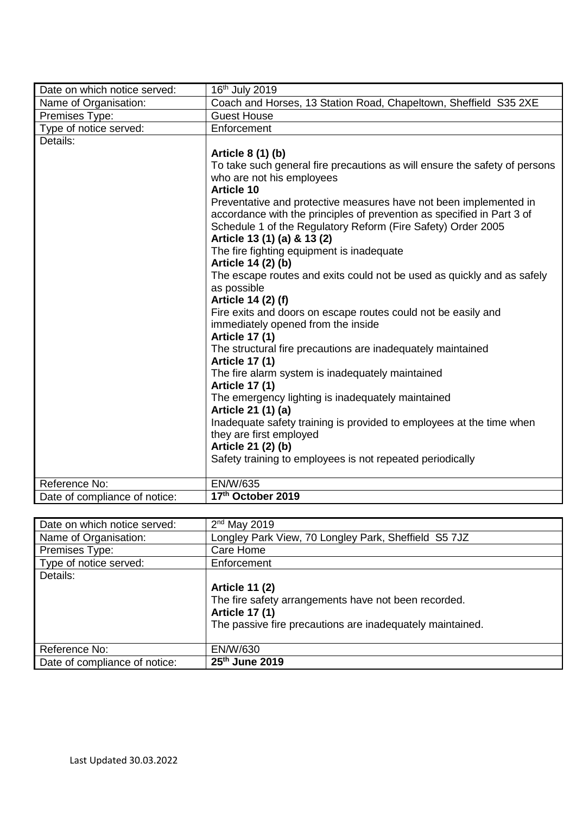| Date on which notice served:  | 16 <sup>th</sup> July 2019                                                 |
|-------------------------------|----------------------------------------------------------------------------|
| Name of Organisation:         | Coach and Horses, 13 Station Road, Chapeltown, Sheffield S35 2XE           |
| Premises Type:                | <b>Guest House</b>                                                         |
| Type of notice served:        | Enforcement                                                                |
| Details:                      |                                                                            |
|                               | Article 8 (1) (b)                                                          |
|                               | To take such general fire precautions as will ensure the safety of persons |
|                               | who are not his employees                                                  |
|                               | <b>Article 10</b>                                                          |
|                               | Preventative and protective measures have not been implemented in          |
|                               | accordance with the principles of prevention as specified in Part 3 of     |
|                               | Schedule 1 of the Regulatory Reform (Fire Safety) Order 2005               |
|                               | Article 13 (1) (a) & 13 (2)                                                |
|                               | The fire fighting equipment is inadequate                                  |
|                               | Article 14 (2) (b)                                                         |
|                               | The escape routes and exits could not be used as quickly and as safely     |
|                               | as possible<br>Article 14 (2) (f)                                          |
|                               | Fire exits and doors on escape routes could not be easily and              |
|                               | immediately opened from the inside                                         |
|                               | <b>Article 17 (1)</b>                                                      |
|                               | The structural fire precautions are inadequately maintained                |
|                               | <b>Article 17 (1)</b>                                                      |
|                               | The fire alarm system is inadequately maintained                           |
|                               | <b>Article 17 (1)</b>                                                      |
|                               | The emergency lighting is inadequately maintained                          |
|                               | Article 21 (1) (a)                                                         |
|                               | Inadequate safety training is provided to employees at the time when       |
|                               | they are first employed                                                    |
|                               | Article 21 (2) (b)                                                         |
|                               | Safety training to employees is not repeated periodically                  |
| Reference No:                 | EN/W/635                                                                   |
| Date of compliance of notice: | 17th October 2019                                                          |

| Date on which notice served:  | $2nd$ May 2019                                            |
|-------------------------------|-----------------------------------------------------------|
| Name of Organisation:         | Longley Park View, 70 Longley Park, Sheffield S5 7JZ      |
| Premises Type:                | Care Home                                                 |
| Type of notice served:        | Enforcement                                               |
| Details:                      |                                                           |
|                               | <b>Article 11 (2)</b>                                     |
|                               | The fire safety arrangements have not been recorded.      |
|                               | <b>Article 17 (1)</b>                                     |
|                               | The passive fire precautions are inadequately maintained. |
|                               |                                                           |
| Reference No:                 | EN/W/630                                                  |
| Date of compliance of notice: | 25 <sup>th</sup> June 2019                                |